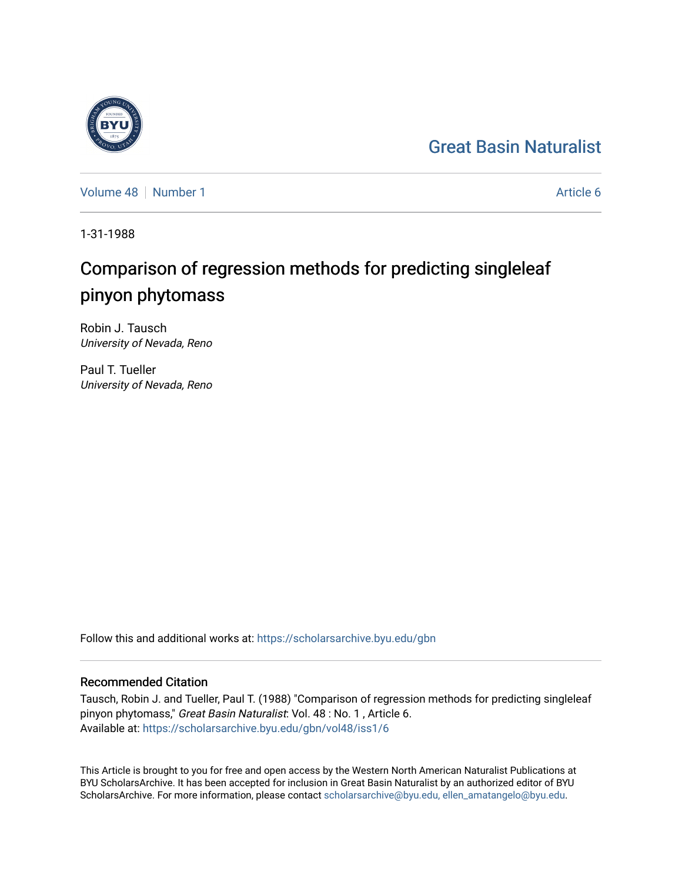## [Great Basin Naturalist](https://scholarsarchive.byu.edu/gbn)

[Volume 48](https://scholarsarchive.byu.edu/gbn/vol48) [Number 1](https://scholarsarchive.byu.edu/gbn/vol48/iss1) Article 6

1-31-1988

# Comparison of regression methods for predicting singleleaf pinyon phytomass

Robin J. Tausch University of Nevada, Reno

Paul T. Tueller University of Nevada, Reno

Follow this and additional works at: [https://scholarsarchive.byu.edu/gbn](https://scholarsarchive.byu.edu/gbn?utm_source=scholarsarchive.byu.edu%2Fgbn%2Fvol48%2Fiss1%2F6&utm_medium=PDF&utm_campaign=PDFCoverPages) 

### Recommended Citation

Tausch, Robin J. and Tueller, Paul T. (1988) "Comparison of regression methods for predicting singleleaf pinyon phytomass," Great Basin Naturalist: Vol. 48 : No. 1 , Article 6. Available at: [https://scholarsarchive.byu.edu/gbn/vol48/iss1/6](https://scholarsarchive.byu.edu/gbn/vol48/iss1/6?utm_source=scholarsarchive.byu.edu%2Fgbn%2Fvol48%2Fiss1%2F6&utm_medium=PDF&utm_campaign=PDFCoverPages)

This Article is brought to you for free and open access by the Western North American Naturalist Publications at BYU ScholarsArchive. It has been accepted for inclusion in Great Basin Naturalist by an authorized editor of BYU ScholarsArchive. For more information, please contact [scholarsarchive@byu.edu, ellen\\_amatangelo@byu.edu.](mailto:scholarsarchive@byu.edu,%20ellen_amatangelo@byu.edu)

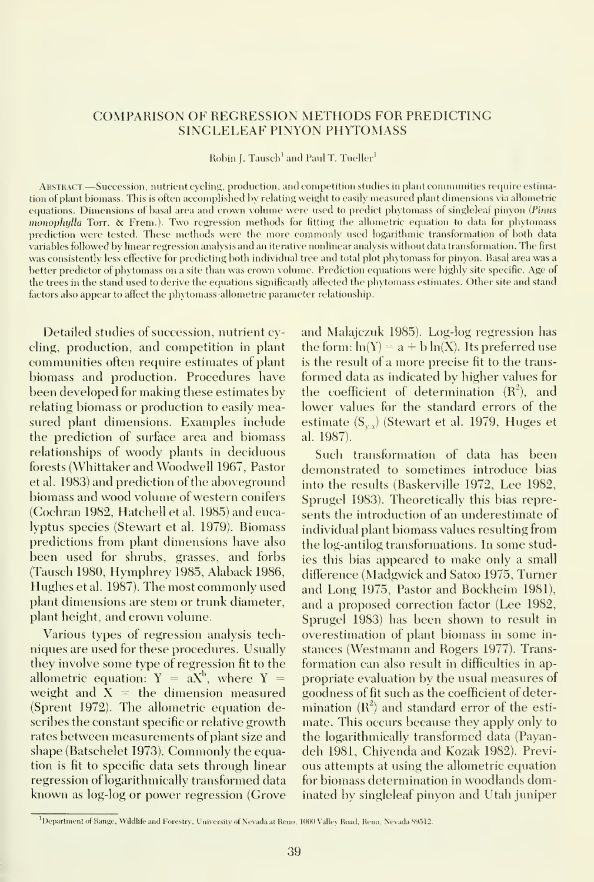#### COMPARISON OF REGRESSION METHODS FOR PREDICTING SINGLELEAF PINYON PHYTOMASS

Robin J. Tausch' and Paul T. Tueller'i

ABSTRACT. - Succession, nutrient cycling, production, and competition studies in plant communities require estimation of plant biomass. This is often accomplished by relating weight to easily measured plant dimensions via allometric equations. Dimensions of basal area and crown volume were used to predict phytomass of singleleaf pinyon (Pinus monophylla Torr. & Frem.). Two regression methods for fitting the allometric equation to data for phytomass prediction were tested. These methods were the more commonly used logarithmic transformation of both data variables followed by linear regression analysis and an iterative nonlinear analysis without data transformation. The first was consistently less effective for predicting both individual tree and total plot phytomass for pinyon. Basal area was a better predictor of phytomass on a site than was crown volume. Prediction equations were highly site specific. Age of the trees in the stand used to derive the equations significantly affected the phytomass estimates. Other site and stand factors also appear to affect the phytomass-allometric parameter relationship.

Detailed studies of succession, nutrient cycling, production, and competition in plant communities often require estimates of plant biomass and production. Procedures have been developed for making these estimates by relating biomass or production to easily measured plant dimensions. Examples include the prediction of surface area and biomass relationships of woody plants in deciduous forests (Whittaker and Woodwell 1967, Pastor et al. 1983) and prediction of the aboveground biomass and wood volume of western conifers (Cochran 1982, Hatchell et al. 1985) and eucalyptus species (Stewart et al. 1979). Biomass predictions from plant dimensions have also been used for shrubs, grasses, and forbs (Tausch 1980, Hymphrey 1985, Alaback 1986, Hughes et al. 1987). The most commonly used plant dimensions are stem or trunk diameter, plant height, and crown volume.

Various types of regression analysis tech niques are used for these procedures. Usually they involve some type of regression fit to the allometric equation:  $Y = aX^b$ , where  $Y =$ weight and  $X =$  the dimension measured (Sprent 1972). The allometric equation describes the constant specific or relative growth rates between measurements of plant size and shape (Batschelet 1973). Commonly the equation is fit to specific data sets through linear regression of logarithmically transformed data known as log-log or power regression (Grove

and Malajczuk 1985). Log-log regression has the form:  $ln(Y) = a + b ln(X)$ . Its preferred use is the result of a more precise fit to the trans formed data as indicated by higher values for the coefficient of determination  $(R^2)$ , and lower values for the standard errors of the estimate  $(S_{y,y})$  (Stewart et al. 1979, Huges et al. 1987).

Such transformation of data has been demonstrated to sometimes introduce bias into the results (Baskerville 1972, Lee 1982, Sprugel 1983). Theoretically this bias represents the introduction of an underestimate of individual plant biomass values resulting from the log-antilog transformations. In some studies this bias appeared to make only a small difference (Madgwick and Satoo 1975, Turner and Long 1975, Pastor and Bockheim 1981), and a proposed correction factor (Lee 1982, Sprugel 1983) has been shown to result in overestimation of plant biomass in some in stances (Westmann and Rogers 1977). Trans formation can also result in difficulties in ap propriate evaluation by the usual measures of goodness of fit such as the coefficient of determination  $(R^2)$  and standard error of the estimate. This occurs because they apply only to the logarithmically transformed data (Payandeh 1981, Chiyenda and Kozak 1982). Previ ous attempts at using the allometric equation for biomass determination in woodlands dominated by singleleaf pinyon and Utah juniper

 $^1$ Department of Range, Wildlife and Forestry, University of Nevada at Reno, 1000 Valley Road, Reno, Nevada 89512.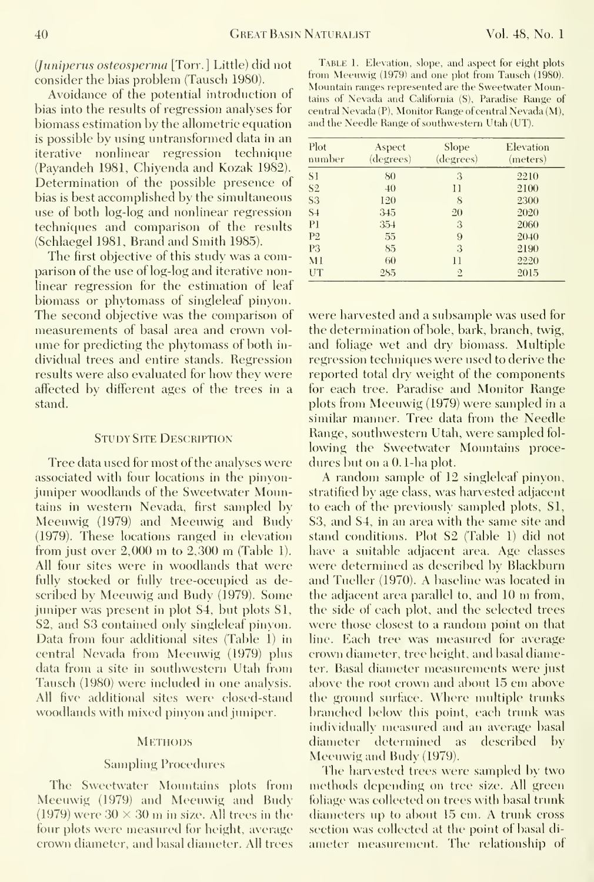(Juniperiis osteosperma [Torr. ] Little) did not consider the bias problem (Tausch 1980).

Avoidance of the potential introduction of bias into the results of regression analyses for biomass estimation by the allometric equation is possible by using untransformed data in an iterative nonlinear regression technique (Payandeh 1981, Chiyenda and Kozak 1982). Determination of the possible presence of bias is best accomplished by the simultaneous use of both log-log and nonlinear regression techniques and comparison of the results (Schlaegel 1981, Brand and Smith 1985).

The first objective of this study was a comparison of the use of log-log and iterative nonlinear regression for the estimation of leaf biomass or phytomass of singleleaf pinyon. The second objective was the comparison of were harvested and a subsample was used for measurements of basal area and crown vol- the determination of bole, bark, branch, twig, ume for predicting the phytomass of both in- and foliage wet and dry biomass. Multiple dividual trees and entire stands. Regression regression techniques were used to derive the results were also evaluated for how they were reported total dry weight of the components affected by different ages of the trees in a for each tree. Paradise and Monitor Range stand.

#### STUDY SITE DESCRIPTION

Tree data used for most of the analyses were dures but on a 0.1-ha plot. associated with four locations in the pinyonjuniper woodlands of the Sweetwater Mountains in western Nevada, first sampled by to each of the previously sampled plots, S1, Meeuwig (1979) and Meeuwig and Budy S3, and S4, in an area with the same site and (1979). These locations ranged in elevation stand conditions. Plot S2 (Table 1) did not from just over 2,000 m to 2,300 m (Table 1). All four sites were in woodlands that were were determined as described by Blackburn fully stocked or fully tree-occupied as described by Meeuwig and Budy (1979). Some the adjacent area parallel to, and 10 m from, juniper was present in plot S4, but plots S1, the side of each plot, and the selected trees S2, and S3 contained only singleleaf pinyon. were those closest to a random point on that Data from four additional sites (Table 1) in line. Each tree was measured for average central Nevada from Meeuwig (1979) plus data from a site in southwestern Utah from ter. Basal diameter measurements were just Tausch (1980) were included in one analysis. above the root crown and about 15 cm above All five additional sites were closed-stand the ground surface. Where multiple trunks woodlands with mixed pinyon and juniper.

#### **METHODS**

#### Sampling Procedures

Meeuwig (1979) and Meeuwig and Budy foliage was collected on trees with basal trunk  $(1979)$  were  $30 \times 30$  m in size. All trees in the diameters up to about 15 cm. A trunk cross four plots were measured for height, average section was collected at the point of basal difour plots were measured for height, average crown diameter, and basal diameter. All trees

TABLE 1. Elevation, slope, and aspect for eight plots from Meeuwig (1979) and one plot from Tausch (1980). Mountain ranges represented are the Sweetwater Mountains of Nevada and California (S), Paradise Range of central Nevada (P), Monitor Range of central Nevada (M), and the Needle Range of southwestern Utah (UT).

| Plot<br>number | Aspect<br>(degrees) | Slope<br>(degrees) | Elevation<br>(meters) |
|----------------|---------------------|--------------------|-----------------------|
| SI <sub></sub> | 80                  | 3                  | 2210                  |
| S <sub>2</sub> | 40                  | $\mathbf{1}$       | 2100                  |
| S <sub>3</sub> | 120                 | S                  | 2300                  |
| $S+$           | 345                 | 20                 | 2020                  |
| P <sub>1</sub> | 354                 | 3                  | 2060                  |
| P <sub>2</sub> | 55                  | 9                  | 2040                  |
| P <sub>3</sub> | 85                  | 3                  | 2190                  |
| M1             | 60                  | 11                 | 2220                  |
| UT             | 285                 | $\overline{2}$     | 2015                  |

plots from Meeuwig (1979) were sampled in a similar manner. Tree data from the Needle Range, southwestern Utah, were sampled following the Sweetwater Mountains proce-

A random sample of 12 singleleaf pinyon, stratified by age class, was harvested adjacent have a suitable adjacent area. Age classes and Tueller (1970). A baseline was located in branched below this point, each trunk was individually measured and an average basal diameter determined as described by Meeuwig and Budy (1979).

The harvested trees were sampled by two The Sweetwater Mountains plots from methods depending on tree size. All green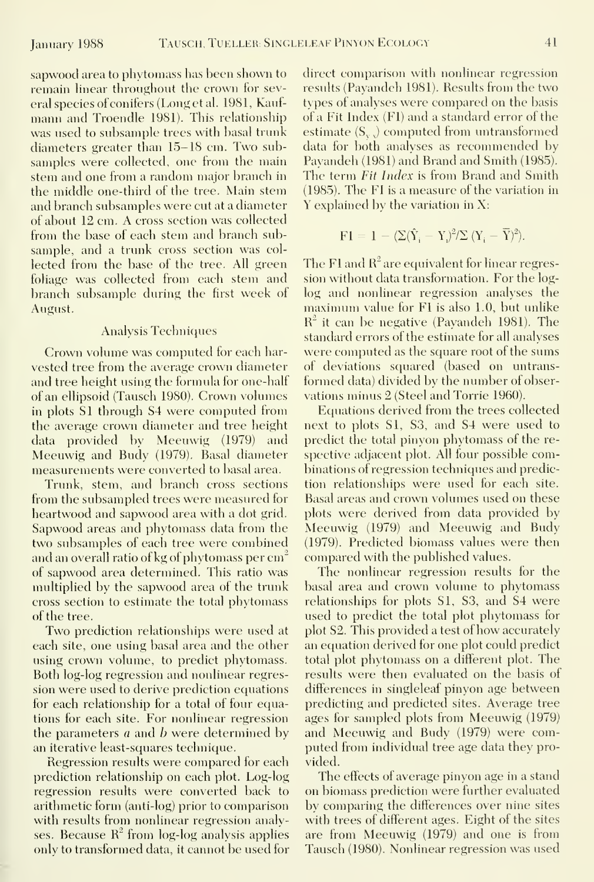sapwood area to phytomass has been shown to remain linear throughout the crown for several species of conifers (Long etal. 1981, Kauf mann and Troendle 1981). This relationship was used to subsample trees with basal trunk diameters greater than 15-18 cm. Two subsamples were collected, one from the main stem and one from a random major branch in the middle one-third of the tree. Main stem and branch subsamples were cut at a diameter of about 12 cm. A cross section was collected from the base of each stem and branch subsample, and a trunk cross section was col lected from the base of the tree. All green foliage was collected from each stem and branch subsample during the first week of August.

#### Analysis Techniques

Crown volume was computed for each har vested tree from the average crown diameter and tree height using the formula for one-half of an ellipsoid (Tausch 1980). Crown volumes in plots SI through S4 were computed from the average crown diameter and tree height data provided by Meeuwig (1979) and Meeuwig and Budy (1979). Basal diameter measurements were converted to basal area.

Trunk, stem, and branch cross sections from the subsampled trees were measured for heartwood and sapwood area with a dot grid. Sapwood areas and phytomass data from the two subsamples of each tree were combined and an overall ratio of kg of phytomass per  $cm<sup>2</sup>$ of sapwood area determined. This ratio was multiplied by the sapwood area of the trunk cross section to estimate the total phytomass of the tree.

Two prediction relationships were used at each site, one using basal area and the other using crown volume, to predict phytomass. Both log-log regression and nonlinear regression were used to derive prediction equations for each relationship for a total of four equations for each site. For nonlinear regression the parameters a and b were determined by an iterative least-squares technique.

Regression results were compared for each prediction relationship on each plot. Log-log regression results were converted back to arithmetic form (anti-log) prior to comparison with results from nonlinear regression analyses. Because  $R^2$  from log-log analysis applies only to transformed data, it cannot be used for

direct comparison with nonlinear regression results (Payandeh 1981). Results from the two types of analyses were compared on the basis of a Fit Index (FI) and a standard error of the estimate  $(S_{y}$  computed from untransformed data for both analvses as recommended by Payandeh (1981) and Brand and Smith (1985). The term Fit Index is from Brand and Smith (1985). The FI isa measure of the variation in Y explained by the variation in X:

$$
\mathrm{F1} = 1 - \langle \Sigma (\hat{Y}_\mathrm{i} - \mathrm{Y}_\mathrm{i})^2 \rangle \Sigma \, (Y_\mathrm{i} - \overline{Y})^2 \rangle.
$$

The F1 and  $R^2$  are equivalent for linear regression without data transformation. For the loglog and nonlinear regression analyses the maximum value for FI is also 1.0, but unlike  $R^2$  it can be negative (Payandeh 1981). The standard errors of the estimate for all analyses were computed as the square root of the sums of deviations squared (based on untrans formed data) divided by the number of observations minus 2 (Steel and Torrie 1960).

Ecjuations derived from the trees collected next to plots SI, S3, and S4 were used to predict the total pinyon phytomass of the re spective adjacent plot. All four possible combinations of regression techniques and prediction relationships were used for each site. Basal areas and crown volumes used on these plots were derived from data provided by Meeuwig (1979) and Meeuwig and Budy (1979). Predicted biomass values were then compared with the published values.

The nonlinear regression results for the basal area and crown volume to phytomass relationships for plots SI, S3, and S4 were used to predict the total plot phytomass for plot S2. This provided <sup>a</sup> test of how accurately an equation derived for one plot could predict total plot phytomass on a different plot. The results were then evaluated on the basis of differences in singleleaf pinyon age between predicting and predicted sites. Average tree ages for sampled plots from Meeuwig (1979) and Meeuwig and Budy (1979) were computed from individual tree age data they pro vided.

The effects of average pinyon age in a stand on biomass prediction were further evaluated by comparing the differences over nine sites with trees of different ages. Eight of the sites are from Meeuwig (1979) and one is from Tausch (1980). Nonlinear regression was used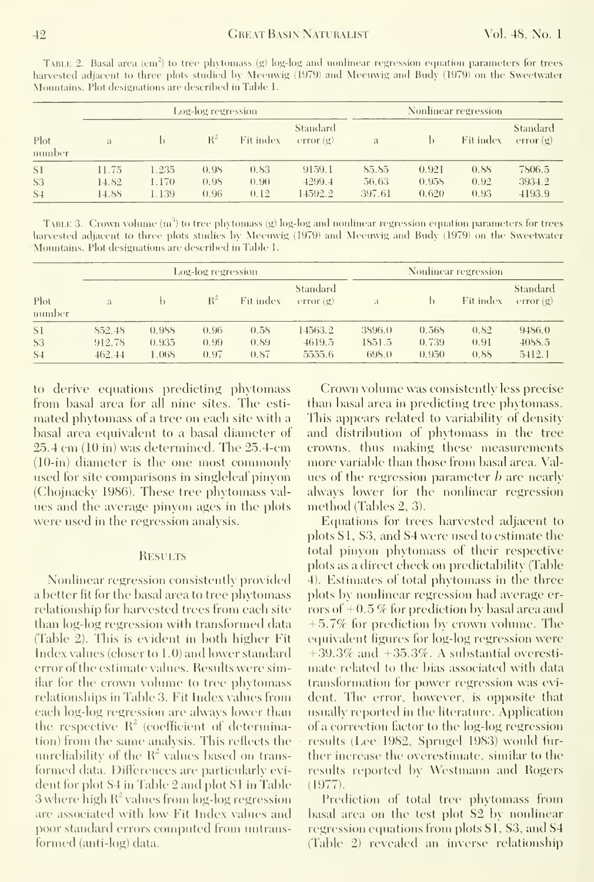Table 2. Basal area (cm") to tree phytomass (g) log-log and nonlinear regression ecjnation parameters tor trees harvested adjacent to three plots studied by Meeuwig (1979) and Meeuwig and Budy (1979) on the Sweetwater Mountains. Plot designations are described in Table 1.

|                | Log-log regression |       |       |           |                      | Nonlinear regression |       |           |                      |
|----------------|--------------------|-------|-------|-----------|----------------------|----------------------|-------|-----------|----------------------|
| Plot<br>number | a                  |       | $R^2$ | Fit index | Standard<br>error(g) | $\mathfrak{a}$       |       | Fit index | Standard<br>error(g) |
| S1             | 11.75              | .235  | 0.98  | 0.83      | 9159.1               | 85.85                | 0.921 | 0.88      | 7806.5               |
| S <sub>3</sub> | 14.82              | 1.170 | 0.98  | (0.90)    | 4299.4               | 56.63                | 0.958 | 0.92      | 3934.2               |
| S <sub>4</sub> | 14.88              | 1.139 | 0.96  | 0.12      | 14592.2              | 397.61               | 0.620 | 0.93      | 4193.9               |

TABLE 3. Crown volume  $(m^3)$  to tree phytomass (g) log-log and nonlinear regression equation parameters for trees harvested adjacent to three plots studies by Meeuwig (1979) and Meeuwig and Budy (1979) on the Sweetwater Mountains. Plot designations are described in Table 1.

|                |              | Log-log regression |       | Nonlinear regression |                      |                |       |           |                             |
|----------------|--------------|--------------------|-------|----------------------|----------------------|----------------|-------|-----------|-----------------------------|
| Plot<br>number | $\mathbf{a}$ |                    | $R^2$ | Fit index            | Standard<br>error(g) | $\mathfrak{g}$ |       | Fit index | <b>Standard</b><br>error(g) |
| S1             | 852.48       | 0.988              | 0.96  | 0.58                 | 14563.2              | 3896.0         | 0.568 | 0.82      | 9486.0                      |
| <b>S3</b>      | 912.78       | 0.935              | 0.99  | 0.89                 | 4619.5               | 1851.5         | 0.739 | 0.91      | 4088.5                      |
| S <sub>4</sub> | 462.44       | 1.068              | 0.97  | 0.87                 | 5555.6               | 698.0          | 0.950 | 0.88      | 5412.1                      |

to derive equations predicting phytomass from basal area for all nine sites. The estimated phytomass of a tree on each site with a basal area equivalent to a basal diameter of 25.4 cm (10 in) was determined. The 25.4-cm  $(10\text{-}in)$  diameter is the one most commonly used for site comparisons in singleleaf pinyon (Chojnacky 1986). These tree phytomass values and the average pinyon ages in the plots were used in the regression analysis.

#### **RESULTS**

Nonlinear regression consistently provided a better fit for the basal area to tree phytomass relationship for harvested trees from each site than log-log regression with transformed data (Table 2). This is evident in both higher Fit Index values (closer to 1.0) and lower standard error of the estimate values. Results were similar for the crown volume to tree phytomass relationships in Table 3. Fit Index values from each log-log regression are always lower than the respective  $R^2$  (coefficient of determination) from the same analysis. This reflects the unreliability of the  $R^2$  values based on transformed data. Differences are particularly evident for plot S4 in Table 2 and plot S1 in Table 3 where high  $R^2$  values from  $log$ -log regression are associated with low Fit Index values and poor standard errors computed from untransformed (anti-log) data.

Crown volume was consistently less precise than basal area in predicting tree phytomass. This appears related to variability of density and distribution of phytomass in the tree crowns, thus making these measurements more variable than those from basal area. Values of the regression parameter *b* are nearly always lower for the nonlinear regression method (Tables 2, 3).

Equations for trees harvested adjacent to plots S1, S3, and S4 were used to estimate the total pinyon phytomass of their respective plots as a direct check on predictability (Table 4). Estimates of total phytomass in the three plots by nonlinear regression had average errors of  $+0.5$  % for prediction by basal area and  $+5.7\%$  for prediction by crown volume. The equivalent figures for log-log regression were  $+39.3\%$  and  $+35.3\%$ . A substantial overestimate related to the bias associated with data transformation for power regression was evident. The error, however, is opposite that usually reported in the literature. Application of a correction factor to the log-log regression results (Lee 1982, Sprugel 1983) would further increase the overestimate, similar to the results reported by Westmann and Rogers  $(1977)$ .

Prediction of total tree phytomass from basal area on the test plot S2 by nonlinear regression equations from plots S1, S3, and S4 (Table 2) revealed an inverse relationship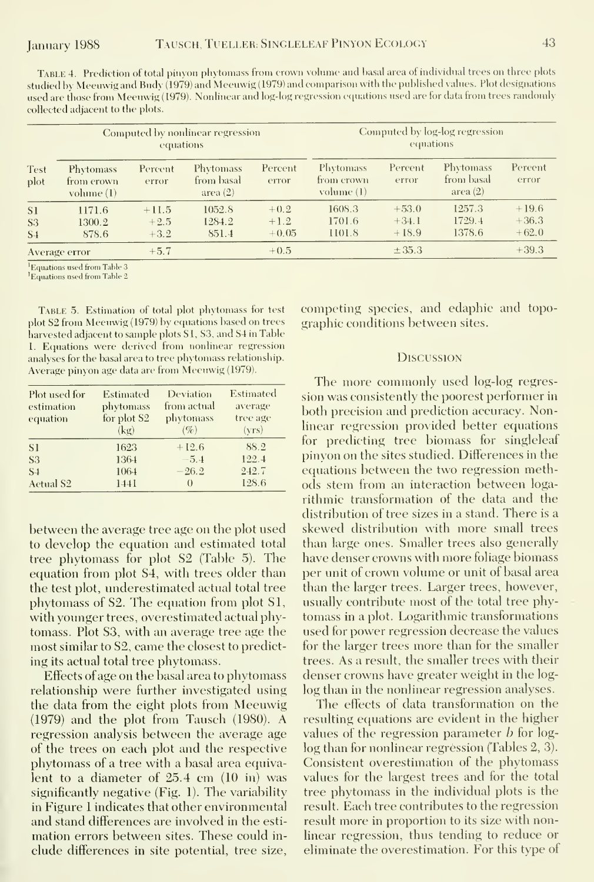TABLE 4. Prediction of total pinyon phytomass from crown volume and basal area of individual trees on three plots studied by Meeuwig and Budy (1979) and Meeuvvig (1979) and comparison with the published \alues. Plot designations used are those from Meeuwig (1979). Nonlinear and log-log regression equations used are for data from trees randomly collected adjacent to the plots.

|                | Computed by nonlinear regression<br>equations  |                  |                                     |                  | Computed by log-log regression<br>equations      |                  |                                            |                  |
|----------------|------------------------------------------------|------------------|-------------------------------------|------------------|--------------------------------------------------|------------------|--------------------------------------------|------------------|
| Test<br>plot   | <b>Phytomass</b><br>from erown<br>volume $(1)$ | Percent<br>error | Phytomass<br>from basal<br>area (2) | Percent<br>error | Phytomass<br>from crown<br>volume <sub>(1)</sub> | Percent<br>error | <b>Phytomass</b><br>from basal<br>area (2) | Pereent<br>error |
| S1             | 1171.6                                         | $+11.5$          | 1052.8                              | $+0.2$           | 1608.3                                           | $+53.0$          | 1257.3                                     | $+19.6$          |
| S <sub>3</sub> | 1300.2                                         | $+2.5$           | 1284.2                              | $+1.2$           | 1701.6                                           | $+34.1$          | 1729.4                                     | $+36.3$          |
| S <sub>4</sub> | 878.6                                          | $+3.2$           | 851.4                               | $+0.05$          | 1101.8                                           | $+18.9$          | 1378.6                                     | $+62.0$          |
|                | Average error                                  | $+5.7$           |                                     | $+0.5$           |                                                  | $\pm$ 35.3       |                                            | $+39.3$          |

<sup>1</sup>Equations used from Table 3

<sup>1</sup>Equations used from Table 2

TABLE 5. Estimation of total plot phytomass for test plot S2 from Meeuwig (1979) by equations based on trees harvested adjacent to sample plots SI, S3, and S4 in Table 1. Equations were derived from nonlinear regression analyses for the basal area to tree phytomass relationship. Average pinyon age data are from Meeuwig (1979).

| Plot used for<br>estimation<br>equation | Estimated<br>phytomass<br>for plot S2<br>(kg) | Deviation<br>from actual<br>phytomass<br>$(\%)$ | Estimated<br>average<br>tree age<br>(vrs) |
|-----------------------------------------|-----------------------------------------------|-------------------------------------------------|-------------------------------------------|
| <sup>S1</sup>                           | 1623                                          | $+12.6$                                         | 88.2                                      |
| S <sub>3</sub>                          | 1364                                          | $-5.4$                                          | 122.4                                     |
| $S+$                                    | 1064                                          | $-26.2$                                         | 242.7                                     |
| Aetual S <sub>2</sub>                   | 1441                                          | $\theta$                                        | 128.6                                     |

between the average tree age on the plot used to develop the equation and estimated total tree phytomass for plot S2 (Table 5). The equation from plot S4, with trees older than the test plot, underestimated actual total tree phytomass of S2. The equation from plot S1, with younger trees, overestimated actual phytomass. Plot S3, with an average tree age the most similar to S2, came the closest to predicting its actual total tree phytomass.

Effects of age on the basal area to phytomass relationship were further investigated using the data from the eight plots from Meeuwig  $(1979)$  and the plot from Tausch  $(1980)$ . A regression analysis between the average age of the trees on each plot and the respective phytomass of a tree with a basal area equivalent to a diameter of  $25.4$  cm  $(10 \text{ in})$  was significantly negative (Fig. 1). The variability in Figure 1 indicates that other environmental and stand differences are involved in the estimation errors between sites. These could include differences in site potential, tree size,

competing species, and edaphic and topographic conditions between sites.

#### **DISCUSSION**

The more commonly used log-log regression was consistently the poorest performer in both precision and prediction accuracy. Nonlinear regression provided better equations for predicting tree biomass for singleleaf pinyon on the sites studied. Differences in the equations between the two regression methods stem from an interaction between logarithmic transformation of the data and the distribution of tree sizes in a stand. There is a skewed distribution with more small trees than large ones. Smaller trees also generally have denser crowns with more foliage biomass per unit of crown volume or unit of basal area than the larger trees. Larger trees, however, usually contribute most of the total tree phytomass in a plot. Logarithmic transformations used for power regression decrease the values for the larger trees more than for the smaller trees. As a result, the smaller trees with their denser crowns have greater weight in the loglog than in the nonlinear regression analyses.

The effects of data transformation on the resulting equations are evident in the higher values of the regression parameter  $b$  for loglog than for nonlinear regression (Tables 2, 3). Consistent overestimation of the phytomass values for the largest trees and for the total tree phytomass in the individual plots is the result. Each tree contributes to the regression result more in proportion to its size with nonlinear regression, thus tending to reduce or eliminate the overestimation. For this type of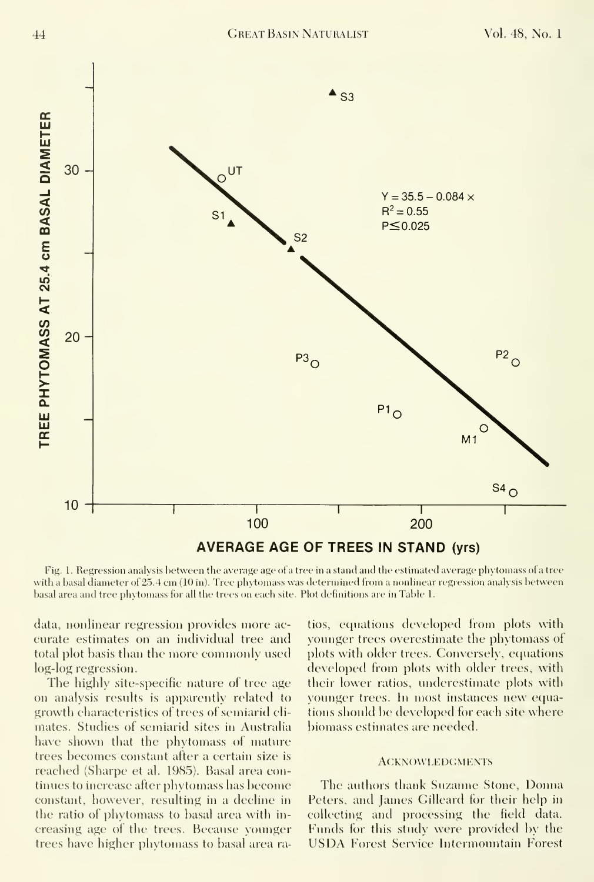

Fig. 1. Regression analysis between the average age of a tree in a stand and the estimated average phytomass of a tree with <sup>a</sup> basal diameter of 25.4 em (10 in). Tree phytomass was determined from <sup>a</sup> nonlinear regression analysis between basal area and tree phytomass for all the trees on each site. Plot definitions are in Table 1.

data, nonlinear regression provides more ac curate estimates on an individual tree and total plot basis than the more commonly used log-log regression.

The highly site-specific nature of tree age on analysis results is apparently related to growth characteristics of trees of semiarid climates. Studies of semiarid sites in Australia have shown that the phytomass of mature trees becomes constant after a certain size is reached (Sharpe et al. 1985). Basal area continues to increase after phytomass has become constant, however, resulting in a decline in the ratio of phytomass to basal area with in creasing age of the trees. Because yoimger trees have higher phytomass to basal area ratios, equations developed from plots with younger trees overestimate the phytomass of plots with older trees. Conversely, equations developed from plots with older trees, with their lower ratios, underestimate plots with younger trees. In most instances new equations should be developed for each site where biomass estimates are needed.

#### ACKNOWLEDGMENTS

The authors thank Suzanne Stone, Donna Peters, and James Gilleard for their help in collecting and processing the field data. Funds for this study were provided by the US DA Forest Service Intermountain Forest